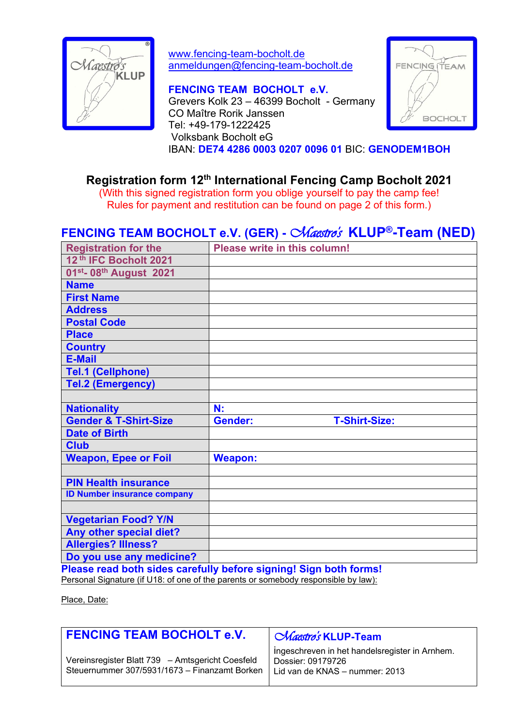

www.fencing-team-bocholt.de anmeldungen@fencing-team-bocholt.de

**FENCING TEAM BOCHOLT e.V.** Grevers Kolk 23 – 46399 Bocholt - Germany CO Maître Rorik Janssen Tel: +49-179-1222425 Volksbank Bocholt eG IBAN: **DE74 4286 0003 0207 0096 01** BIC: **GENODEM1BOH**



## **Registration form 12 th International Fencing Camp Bocholt 2021**

(With this signed registration form you oblige yourself to pay the camp fee! Rules for payment and restitution can be found on page 2 of this form.)

# **FENCING TEAM BOCHOLT e.V. (GER) -***Maestro's* **KLUP®-Team (NED)**

| <b>Registration for the</b>                     | Please write in this column!           |
|-------------------------------------------------|----------------------------------------|
| 12 <sup>th</sup> IFC Bocholt 2021               |                                        |
| 01 <sup>st</sup> - 08 <sup>th</sup> August 2021 |                                        |
| <b>Name</b>                                     |                                        |
| <b>First Name</b>                               |                                        |
| <b>Address</b>                                  |                                        |
| <b>Postal Code</b>                              |                                        |
| <b>Place</b>                                    |                                        |
| <b>Country</b>                                  |                                        |
| <b>E-Mail</b>                                   |                                        |
| <b>Tel.1 (Cellphone)</b>                        |                                        |
| <b>Tel.2 (Emergency)</b>                        |                                        |
|                                                 |                                        |
|                                                 |                                        |
| <b>Nationality</b>                              | N:                                     |
| <b>Gender &amp; T-Shirt-Size</b>                | <b>Gender:</b><br><b>T-Shirt-Size:</b> |
| <b>Date of Birth</b>                            |                                        |
| <b>Club</b>                                     |                                        |
| <b>Weapon, Epee or Foil</b>                     | <b>Weapon:</b>                         |
|                                                 |                                        |
| <b>PIN Health insurance</b>                     |                                        |
| <b>ID Number insurance company</b>              |                                        |
|                                                 |                                        |
| <b>Vegetarian Food? Y/N</b>                     |                                        |
| Any other special diet?                         |                                        |
| <b>Allergies? Illness?</b>                      |                                        |
| Do you use any medicine?                        |                                        |

**Please read both sides carefully before signing! Sign both forms!** Personal Signature (if U18: of one of the parents or somebody responsible by law):

Place, Date:

| <b>FENCING TEAM BOCHOLT e.V.</b>                                                                  | <i>Chaestro's</i> KLUP-Team                                                                           |
|---------------------------------------------------------------------------------------------------|-------------------------------------------------------------------------------------------------------|
| Vereinsregister Blatt 739 - Amtsgericht Coesfeld<br>Steuernummer 307/5931/1673 - Finanzamt Borken | ingeschreven in het handelsregister in Arnhem.<br>Dossier: 09179726<br>Lid van de KNAS - nummer: 2013 |